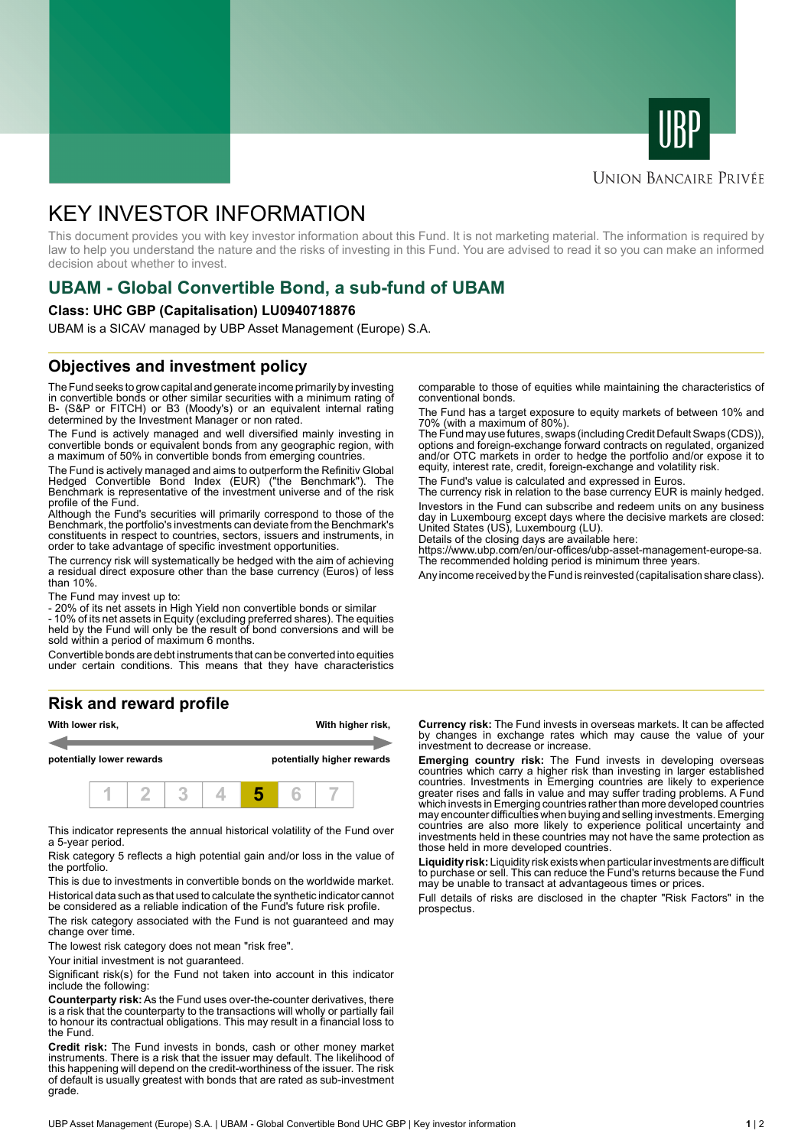



### **UNION BANCAIRE PRIVÉE**

# KEY INVESTOR INFORMATION

This document provides you with key investor information about this Fund. It is not marketing material. The information is required by law to help you understand the nature and the risks of investing in this Fund. You are advised to read it so you can make an informed decision about whether to invest.

# **UBAM - Global Convertible Bond, a sub-fund of UBAM**

#### **Class: UHC GBP (Capitalisation) LU0940718876**

UBAM is a SICAV managed by UBP Asset Management (Europe) S.A.

## **Objectives and investment policy**

The Fund seeks to grow capital and generate income primarily by investing in convertible bonds or other similar securities with a minimum rating of B- (S&P or FITCH) or B3 (Moody's) or an equivalent internal rating determined by the Investment Manager or non rated.

The Fund is actively managed and well diversified mainly investing in convertible bonds or equivalent bonds from any geographic region, with a maximum of 50% in convertible bonds from emerging countries.

The Fund is actively managed and aims to outperform the Refinitiv Global Hedged Convertible Bond Index (EUR) ("the Benchmark"). The Benchmark is representative of the investment universe and of the risk profile of the Fund.

Although the Fund's securities will primarily correspond to those of the Benchmark, the portfolio's investments can deviate from the Benchmark's constituents in respect to countries, sectors, issuers and instruments, in order to take advantage of specific investment opportunities.

The currency risk will systematically be hedged with the aim of achieving a residual direct exposure other than the base currency (Euros) of less than 10%.

The Fund may invest up to:

- 20% of its net assets in High Yield non convertible bonds or similar

- 10% of its net assets in Equity (excluding preferred shares). The equities held by the Fund will only be the result of bond conversions and will be sold within a period of maximum 6 months.

Convertible bonds are debt instruments that can be converted into equities under certain conditions. This means that they have characteristics

# **Risk and reward profile**



This indicator represents the annual historical volatility of the Fund over a 5-year period.

Risk category 5 reflects a high potential gain and/or loss in the value of the portfolio.

This is due to investments in convertible bonds on the worldwide market. Historical data such as that used to calculate the synthetic indicator cannot be considered as a reliable indication of the Fund's future risk profile.

The risk category associated with the Fund is not guaranteed and may change over time.

The lowest risk category does not mean "risk free".

Your initial investment is not quaranteed.

Significant risk(s) for the Fund not taken into account in this indicator include the following:

**Counterparty risk:** As the Fund uses over-the-counter derivatives, there is a risk that the counterparty to the transactions will wholly or partially fail to honour its contractual obligations. This may result in a financial loss to the Fund.

**Credit risk:** The Fund invests in bonds, cash or other money market instruments. There is a risk that the issuer may default. The likelihood of this happening will depend on the credit-worthiness of the issuer. The risk of default is usually greatest with bonds that are rated as sub-investment grade.

comparable to those of equities while maintaining the characteristics of conventional bonds.

The Fund has a target exposure to equity markets of between 10% and 70% (with a maximum of 80%).

The Fund may use futures, swaps (including Credit Default Swaps (CDS)), options and foreign-exchange forward contracts on regulated, organized and/or OTC markets in order to hedge the portfolio and/or expose it to equity, interest rate, credit, foreign-exchange and volatility risk.

The Fund's value is calculated and expressed in Euros.

The currency risk in relation to the base currency EUR is mainly hedged. Investors in the Fund can subscribe and redeem units on any business day in Luxembourg except days where the decisive markets are closed: United States (US), Luxembourg (LU).

Details of the closing days are available here:

https://www.ubp.com/en/our-offices/ubp-asset-management-europe-sa. The recommended holding period is minimum three years.

Any income received by the Fund is reinvested (capitalisation share class).

**Currency risk:** The Fund invests in overseas markets. It can be affected by changes in exchange rates which may cause the value of your investment to decrease or increase.

**Emerging country risk:** The Fund invests in developing overseas countries which carry a higher risk than investing in larger established countries. Investments in Emerging countries are likely to experience greater rises and falls in value and may suffer trading problems. A Fund which invests in Emerging countries rather than more developed countries may encounter difficulties when buying and selling investments. Emerging countries are also more likely to experience political uncertainty and investments held in these countries may not have the same protection as those held in more developed countries.

**Liquidity risk:** Liquidity risk exists when particular investments are difficult to purchase or sell. This can reduce the Fund's returns because the Fund may be unable to transact at advantageous times or prices.

Full details of risks are disclosed in the chapter "Risk Factors" in the prospectus.